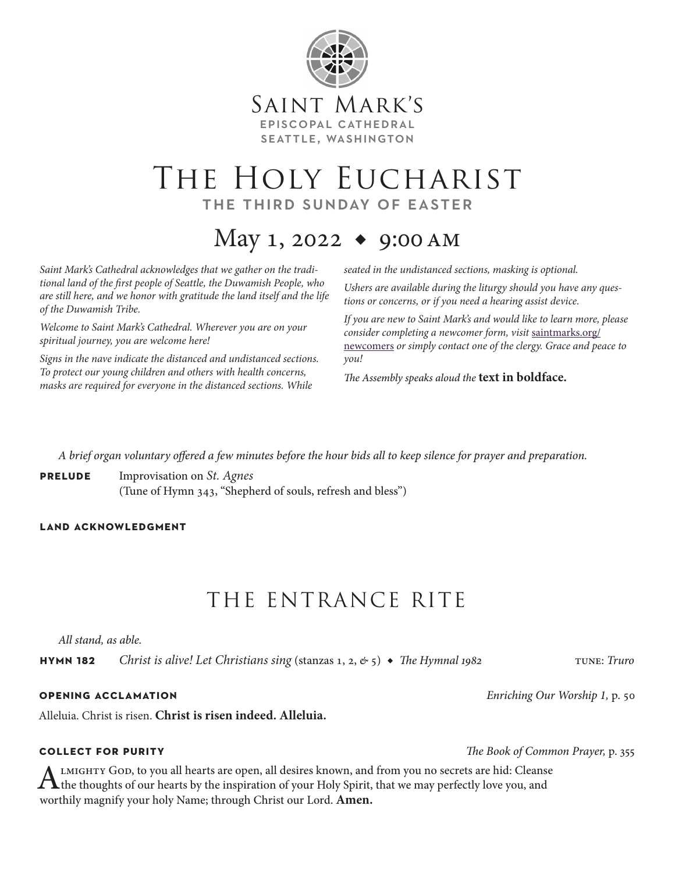

## THE HOLY EUCHARIST the third sunday of easter

# May 1, 2022  $\bullet$  9:00 AM

*Saint Mark's Cathedral acknowledges that we gather on the traditional land of the first people of Seattle, the Duwamish People, who are still here, and we honor with gratitude the land itself and the life of the Duwamish Tribe.* 

*Welcome to Saint Mark's Cathedral. Wherever you are on your spiritual journey, you are welcome here!*

*Signs in the nave indicate the distanced and undistanced sections. To protect our young children and others with health concerns, masks are required for everyone in the distanced sections. While* 

*seated in the undistanced sections, masking is optional.*

*Ushers are available during the liturgy should you have any questions or concerns, or if you need a hearing assist device.*

*If you are new to Saint Mark's and would like to learn more, please consider completing a newcomer form, visit* [saintmarks.org/](https://saintmarks.org/im-new/im-new-here/) [newcomers](https://saintmarks.org/im-new/im-new-here/) *or simply contact one of the clergy. Grace and peace to you!*

*The Assembly speaks aloud the* **text in boldface.**

*A brief organ voluntary offered a few minutes before the hour bids all to keep silence for prayer and preparation.*

**prelude** Improvisation on *St. Agnes* (Tune of Hymn 343, "Shepherd of souls, refresh and bless")

### **land acknowledgment**

## THE ENTRANCE RITE

*All stand, as able.*

**hymn 182** *Christ is alive! Let Christians sing* (stanzas 1, 2, *&* 5)◆ *The Hymnal 1982* tune: *Truro*

## **opening acclamation** *Enriching Our Worship 1,* p. 50

Alleluia. Christ is risen. **Christ is risen indeed. Alleluia.**

## **collect for purity** *The Book of Common Prayer,* p. 355

ALMIGHTY GOD, to you all hearts are open, all desires known, and from you no secrets are hid: Cleanse<br>the thoughts of our hearts by the inspiration of your Holy Spirit, that we may perfectly love you, and worthily magnify your holy Name; through Christ our Lord. **Amen.**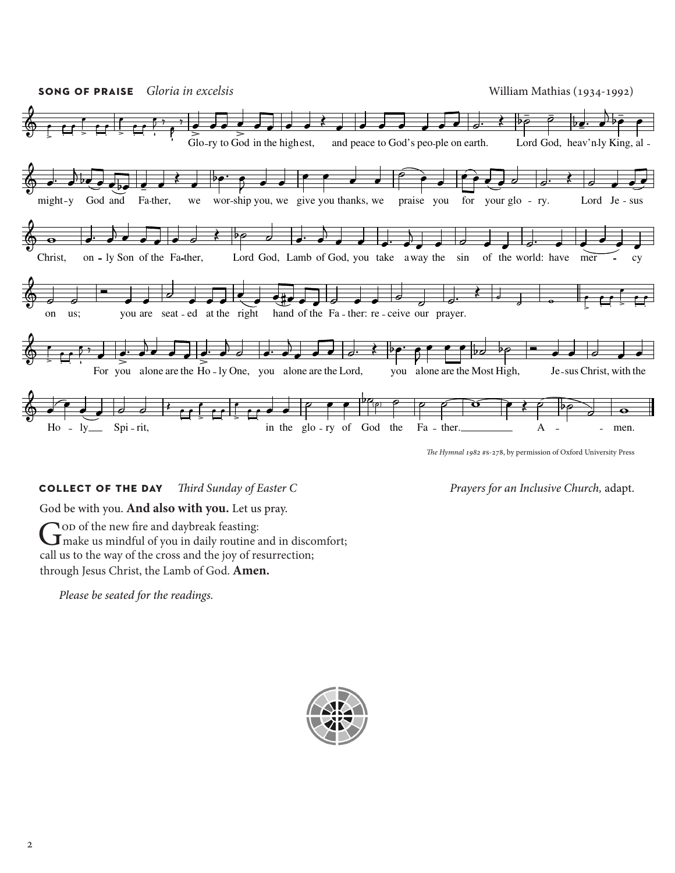

*The Hymnal 1982* #s-278, by permission of Oxford University Press

**collect of the day** *Third Sunday of Easter C Prayers for an Inclusive Church,* adapt.

God be with you. **And also with you.** Let us pray.

God of the new fire and daybreak feasting:<br>
I make us mindful of you in daily routine and in discomfort;<br>
which is the disconfort; call us to the way of the cross and the joy of resurrection;

through Jesus Christ, the Lamb of God. **Amen.**

*Please be seated for the readings.*

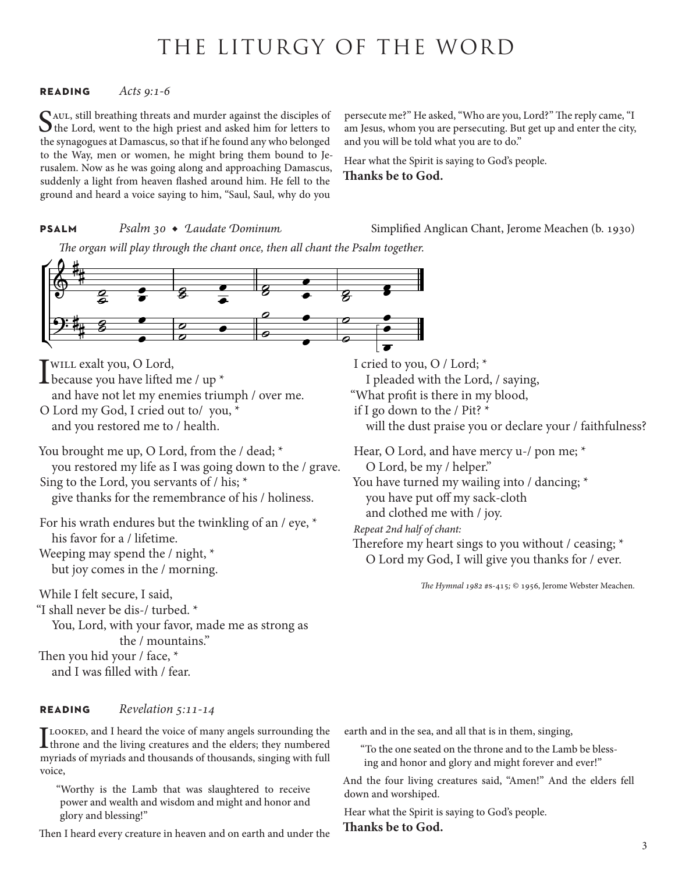## THE LITURGY OF THE WORD

#### **reading** *Acts 9:1-6*

Saul, still breathing threats and murder against the disciples of the Lord, went to the high priest and asked him for letters to the synagogues at Damascus, so that if he found any who belonged to the Way, men or women, he might bring them bound to Jerusalem. Now as he was going along and approaching Damascus, suddenly a light from heaven flashed around him. He fell to the ground and heard a voice saying to him, "Saul, Saul, why do you

persecute me?" He asked, "Who are you, Lord?" The reply came, "I am Jesus, whom you are persecuting. But get up and enter the city, and you will be told what you are to do."

Hear what the Spirit is saying to God's people. **Thanks be to God.**

**PSALM** *Psalm* 30 ◆ *Laudate Dominum* Simplified Anglican Chant, Jerome Meachen (b. 1930)

*The organ will play through the chant once, then all chant the Psalm together.*



I will exalt you, O Lord, because you have lifted me / up \* and have not let my enemies triumph / over me. O Lord my God, I cried out to/ you, \* and you restored me to / health.

```
You brought me up, O Lord, from the / dead; * you restored my life as I was going down to the / grave.
Sing to the Lord, you servants of / his; *
```
give thanks for the remembrance of his / holiness.

For his wrath endures but the twinkling of an / eye, \* his favor for a / lifetime.

Weeping may spend the / night, \* but joy comes in the / morning.

While I felt secure, I said,

"I shall never be dis-/ turbed. \*

 You, Lord, with your favor, made me as strong as the / mountains."

Then you hid your / face, \* and I was filled with / fear.

### **reading** *Revelation 5:11-14*

I looked, and I heard the voice of many angels surrounding the throne and the living creatures and the elders; they numbered myriads of myriads and thousands of thousands, singing with full voice,

"Worthy is the Lamb that was slaughtered to receive power and wealth and wisdom and might and honor and glory and blessing!"

Then I heard every creature in heaven and on earth and under the

I cried to you, O / Lord; \* I pleaded with the Lord, / saying, "What profit is there in my blood, if I go down to the / Pit? \* will the dust praise you or declare your / faithfulness?

Hear, O Lord, and have mercy u-/ pon me; \* O Lord, be my / helper." You have turned my wailing into / dancing; \* you have put off my sack-cloth and clothed me with / joy. *Repeat 2nd half of chant:*

Therefore my heart sings to you without / ceasing; \* O Lord my God, I will give you thanks for / ever.

*The Hymnal 1982* #s-415*;* © 1956, Jerome Webster Meachen.

earth and in the sea, and all that is in them, singing,

"To the one seated on the throne and to the Lamb be blessing and honor and glory and might forever and ever!"

And the four living creatures said, "Amen!" And the elders fell down and worshiped.

Hear what the Spirit is saying to God's people.

**Thanks be to God.**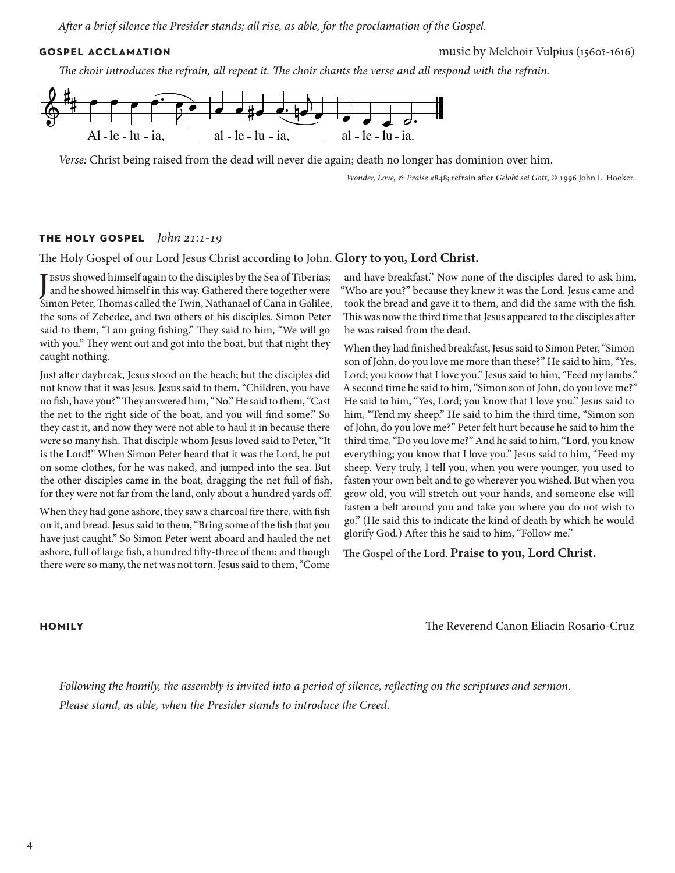*After a brief silence the Presider stands; all rise, as able, for the proclamation of the Gospel.*

**gospel acclamation** music by Melchoir Vulpius (1560?-1616)

*The choir introduces the refrain, all repeat it. The choir chants the verse and all respond with the refrain.*



*Verse:* Christ being raised from the dead will never die again; death no longer has dominion over him.

*Wonder, Love, & Praise* #848; refrain after *Gelobt sei Gott*, © 1996 John L. Hooker.

#### **the holy gospel** *John 21:1-19*

The Holy Gospel of our Lord Jesus Christ according to John. **Glory to you, Lord Christ.**

**J** esus showed himself again to the disciples by the Sea of Tiberias;<br>and he showed himself in this way. Gathered there together were and he showed himself in this way. Gathered there together were Simon Peter, Thomas called the Twin, Nathanael of Cana in Galilee, the sons of Zebedee, and two others of his disciples. Simon Peter said to them, "I am going fishing." They said to him, "We will go with you." They went out and got into the boat, but that night they caught nothing.

Just after daybreak, Jesus stood on the beach; but the disciples did not know that it was Jesus. Jesus said to them, "Children, you have no fish, have you?" They answered him, "No." He said to them, "Cast the net to the right side of the boat, and you will find some." So they cast it, and now they were not able to haul it in because there were so many fish. That disciple whom Jesus loved said to Peter, "It is the Lord!" When Simon Peter heard that it was the Lord, he put on some clothes, for he was naked, and jumped into the sea. But the other disciples came in the boat, dragging the net full of fish, for they were not far from the land, only about a hundred yards off.

When they had gone ashore, they saw a charcoal fire there, with fish on it, and bread. Jesus said to them, "Bring some of the fish that you have just caught." So Simon Peter went aboard and hauled the net ashore, full of large fish, a hundred fifty-three of them; and though there were so many, the net was not torn. Jesus said to them, "Come

and have breakfast." Now none of the disciples dared to ask him, "Who are you?" because they knew it was the Lord. Jesus came and took the bread and gave it to them, and did the same with the fish. This was now the third time that Jesus appeared to the disciples after he was raised from the dead.

When they had finished breakfast, Jesus said to Simon Peter, "Simon son of John, do you love me more than these?" He said to him, "Yes, Lord; you know that I love you." Jesus said to him, "Feed my lambs." A second time he said to him, "Simon son of John, do you love me?" He said to him, "Yes, Lord; you know that I love you." Jesus said to him, "Tend my sheep." He said to him the third time, "Simon son of John, do you love me?" Peter felt hurt because he said to him the third time, "Do you love me?" And he said to him, "Lord, you know everything; you know that I love you." Jesus said to him, "Feed my sheep. Very truly, I tell you, when you were younger, you used to fasten your own belt and to go wherever you wished. But when you grow old, you will stretch out your hands, and someone else will fasten a belt around you and take you where you do not wish to go." (He said this to indicate the kind of death by which he would glorify God.) After this he said to him, "Follow me."

The Gospel of the Lord. **Praise to you, Lord Christ.**

**homily** The Reverend Canon Eliacín Rosario-Cruz

*Following the homily, the assembly is invited into a period of silence, reflecting on the scriptures and sermon. Please stand, as able, when the Presider stands to introduce the Creed.*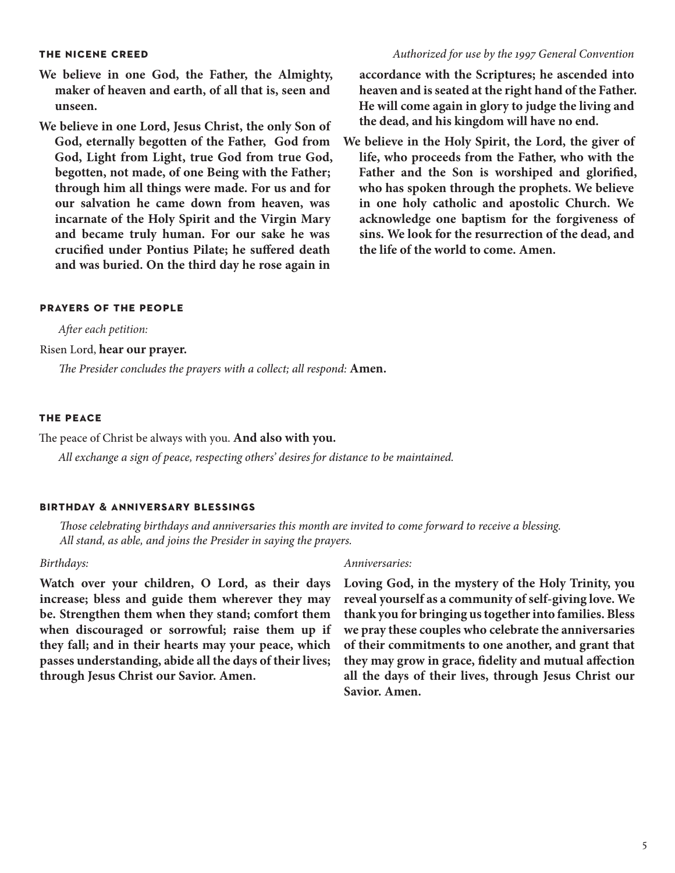- **We believe in one God, the Father, the Almighty, maker of heaven and earth, of all that is, seen and unseen.**
- **We believe in one Lord, Jesus Christ, the only Son of God, eternally begotten of the Father, God from God, Light from Light, true God from true God, begotten, not made, of one Being with the Father; through him all things were made. For us and for our salvation he came down from heaven, was incarnate of the Holy Spirit and the Virgin Mary and became truly human. For our sake he was crucified under Pontius Pilate; he suffered death and was buried. On the third day he rose again in**

#### **the nicene creed** *Authorized for use by the 1997 General Convention*

**accordance with the Scriptures; he ascended into heaven and is seated at the right hand of the Father. He will come again in glory to judge the living and the dead, and his kingdom will have no end.**

**We believe in the Holy Spirit, the Lord, the giver of life, who proceeds from the Father, who with the Father and the Son is worshiped and glorified, who has spoken through the prophets. We believe in one holy catholic and apostolic Church. We acknowledge one baptism for the forgiveness of sins. We look for the resurrection of the dead, and the life of the world to come. Amen.**

#### **prayers of the people**

*After each petition:*

Risen Lord, **hear our prayer.**

*The Presider concludes the prayers with a collect; all respond:* **Amen.**

### **the peace**

The peace of Christ be always with you. **And also with you.**

*All exchange a sign of peace, respecting others' desires for distance to be maintained.* 

#### **birthday & anniversary blessings**

*Those celebrating birthdays and anniversaries this month are invited to come forward to receive a blessing. All stand, as able, and joins the Presider in saying the prayers.*

#### *Birthdays:*

**Watch over your children, O Lord, as their days increase; bless and guide them wherever they may be. Strengthen them when they stand; comfort them when discouraged or sorrowful; raise them up if they fall; and in their hearts may your peace, which passes understanding, abide all the days of their lives; through Jesus Christ our Savior. Amen.**

### *Anniversaries:*

**Loving God, in the mystery of the Holy Trinity, you reveal yourself as a community of self-giving love. We thank you for bringing us together into families. Bless we pray these couples who celebrate the anniversaries of their commitments to one another, and grant that they may grow in grace, fidelity and mutual affection all the days of their lives, through Jesus Christ our Savior. Amen.**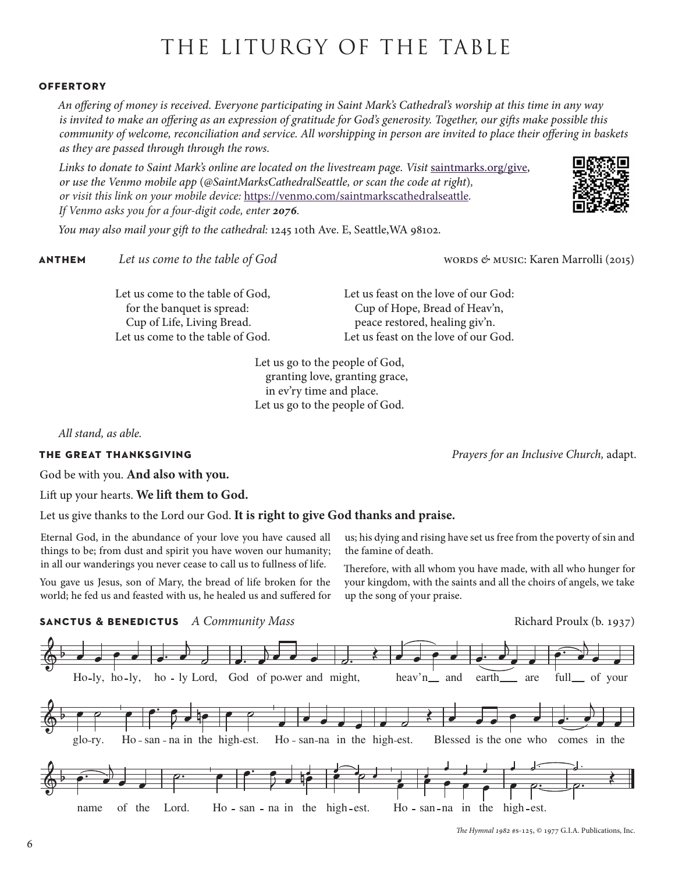## THE LITURGY OF THE TABLE

#### **offertory**

*An offering of money is received. Everyone participating in Saint Mark's Cathedral's worship at this time in any way is invited to make an offering as an expression of gratitude for God's generosity. Together, our gifts make possible this community of welcome, reconciliation and service. All worshipping in person are invited to place their offering in baskets as they are passed through through the rows.* 

Links to donate to Saint Mark's online are located on the livestream page. Visit [saintmarks.org/give](http://saintmarks.org/give), *or use the Venmo mobile app* (*@SaintMarksCathedralSeattle, or scan the code at right*)*, or visit this link on your mobile device:* <https://venmo.com/saintmarkscathedralseattle>*. If Venmo asks you for a four-digit code, enter 2076.*

*You may also mail your gift to the cathedral:* 1245 10th Ave. E, Seattle,WA 98102.

**ANTHEM** Let us come to the table of God words  $\phi$  words  $\phi$  music: Karen Marrolli (2015)

Let us come to the table of God, for the banquet is spread: Cup of Life, Living Bread. Let us come to the table of God.

Let us feast on the love of our God: Cup of Hope, Bread of Heav'n, peace restored, healing giv'n. Let us feast on the love of our God.

Let us go to the people of God, granting love, granting grace, in ev'ry time and place. Let us go to the people of God.

*All stand, as able.*

### **the great thanksgiving** *Prayers for an Inclusive Church,* adapt.

God be with you. **And also with you.** 

Lift up your hearts. **We lift them to God.** 

Let us give thanks to the Lord our God. **It is right to give God thanks and praise.**

Eternal God, in the abundance of your love you have caused all things to be; from dust and spirit you have woven our humanity; in all our wanderings you never cease to call us to fullness of life.

You gave us Jesus, son of Mary, the bread of life broken for the world; he fed us and feasted with us, he healed us and suffered for us; his dying and rising have set us free from the poverty of sin and the famine of death.

Therefore, with all whom you have made, with all who hunger for your kingdom, with the saints and all the choirs of angels, we take up the song of your praise.





6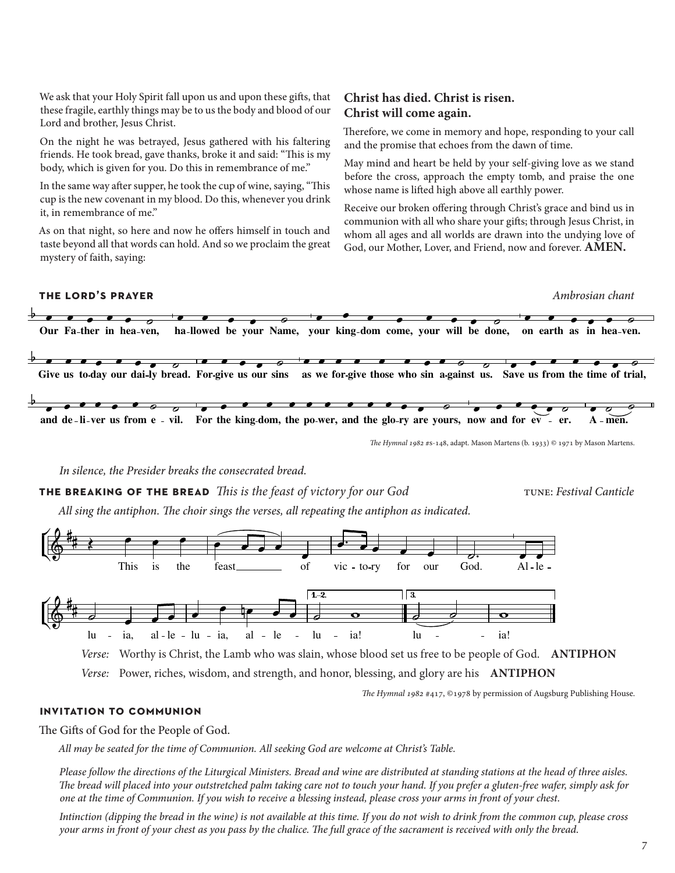We ask that your Holy Spirit fall upon us and upon these gifts, that these fragile, earthly things may be to us the body and blood of our Lord and brother, Jesus Christ.

On the night he was betrayed, Jesus gathered with his faltering friends. He took bread, gave thanks, broke it and said: "This is my body, which is given for you. Do this in remembrance of me."

In the same way after supper, he took the cup of wine, saying, "This cup is the new covenant in my blood. Do this, whenever you drink it, in remembrance of me."

As on that night, so here and now he offers himself in touch and taste beyond all that words can hold. And so we proclaim the great mystery of faith, saying:

## **Christ has died. Christ is risen. Christ will come again.**

Therefore, we come in memory and hope, responding to your call and the promise that echoes from the dawn of time.

May mind and heart be held by your self-giving love as we stand before the cross, approach the empty tomb, and praise the one whose name is lifted high above all earthly power.

Receive our broken offering through Christ's grace and bind us in communion with all who share your gifts; through Jesus Christ, in whom all ages and all worlds are drawn into the undying love of God, our Mother, Lover, and Friend, now and forever. **AMEN.**

#### **the lord's prayer** *Ambrosian chant* on the compact of the compact of the compact of the compact of the compact of the compact of the compact of the compact of the compact of the compact of the compact of the compact of the compact of the compact of the compa  $\bullet$  $\bullet$  $\overline{\cdot}$  $\overline{\bullet}$  $\overline{\bullet}$  $\overline{\phantom{0}}$  $\overline{\bullet}$  $\overline{\bullet}$ . . <u>. . . . . . . . . . . . . . . . .</u> . . . . Our Fa-ther in hea-ven,  $\bullet$  . . . .  $\bullet$  $\overline{a}$  $\bullet$   $\bullet$   $\bullet$  $\overline{\mathcal{P}}$  $\bullet$  us. gainst dai ly we Give us to-day our dai-ly bread. For-give us our sins as we for-give those who sin a-gainst us. Save us from the time of trial, and de-li-ver us from e - vil. For the king-dom, the po-wer, and the glo-ry are yours, now and for  $e\overline{v}$  - er. A  $\overline{\cdots}$  $\overline{\bullet}$  $\bullet$   $\circ$   $\bullet$   $\bullet$   $\bullet$   $\overline{\bullet}$  $\overline{\phantom{a}}$  $\overline{\bullet}$  $\sigma$   $\bullet$   $\sigma$   $\circ$  $A - \widetilde{men}$ .  $\overline{\phantom{0}}$ *The Hymnal 1982* #s-148, adapt. Mason Martens (b. 1933) © 1971 by Mason Martens.

*In silence, the Presider breaks the consecrated bread.*

**the breaking of the bread** *This is the feast of victory for our God* tune: *Festival Canticle*

*All sing the antiphon. The choir sings the verses, all repeating the antiphon as indicated.*



*Verse:* Worthy is Christ, the Lamb who was slain, whose blood set us free to be people of God. **ANTIPHON** *Verse:* Power, riches, wisdom, and strength, and honor, blessing, and glory are his **ANTIPHON**

*The Hymnal 1982* #417, ©1978 by permission of Augsburg Publishing House.

#### **invitation to communion**

#### The Gifts of God for the People of God.

*All may be seated for the time of Communion. All seeking God are welcome at Christ's Table.* 

*Please follow the directions of the Liturgical Ministers. Bread and wine are distributed at standing stations at the head of three aisles. The bread will placed into your outstretched palm taking care not to touch your hand. If you prefer a gluten-free wafer, simply ask for one at the time of Communion. If you wish to receive a blessing instead, please cross your arms in front of your chest.*

*Intinction (dipping the bread in the wine) is not available at this time. If you do not wish to drink from the common cup, please cross your arms in front of your chest as you pass by the chalice. The full grace of the sacrament is received with only the bread.*